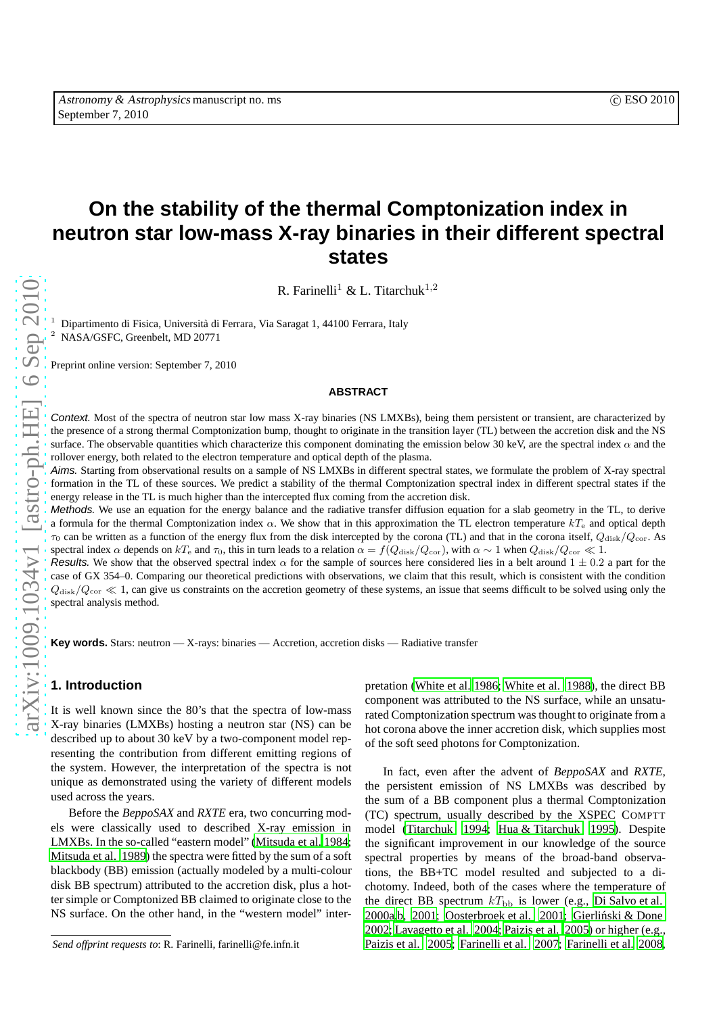# **On the stability of the thermal Comptonization index in neutron star low-mass X-ray binaries in their different spectral states**

R. Farinelli<sup>1</sup> & L. Titarchuk<sup>1,2</sup>

Dipartimento di Fisica, Università di Ferrara, Via Saragat 1, 44100 Ferrara, Italy <sup>2</sup> NASA/GSFC, Greenbelt, MD 20771

Preprint online version: September 7, 2010

## **ABSTRACT**

Context. Most of the spectra of neutron star low mass X-ray binaries (NS LMXBs), being them persistent or transient, are characterized by the presence of a strong thermal Comptonization bump, thought to originate in the transition layer (TL) between the accretion disk and the NS surface. The observable quantities which characterize this component dominating the emission below 30 keV, are the spectral index  $\alpha$  and the rollover energy, both related to the electron temperature and optical depth of the plasma.

Aims. Starting from observational results on a sample of NS LMXBs in different spectral states, we formulate the problem of X-ray spectral formation in the TL of these sources. We predict a stability of the thermal Comptonization spectral index in different spectral states if the energy release in the TL is much higher than the intercepted flux coming from the accretion disk.

Methods. We use an equation for the energy balance and the radiative transfer diffusion equation for a slab geometry in the TL, to derive a formula for the thermal Comptonization index  $\alpha$ . We show that in this approximation the TL electron temperature  $kT_e$  and optical depth  $\tau_0$  can be written as a function of the energy flux from the disk intercepted by the corona (TL) and that in the corona itself,  $Q_{\text{disk}}/Q_{\text{cor}}$ . As spectral index  $\alpha$  depends on kT<sub>e</sub> and  $\tau_0$ , this in turn leads to a relation  $\alpha = f(Q_{\text{disk}}/Q_{\text{cor}})$ , with  $\alpha \sim 1$  when  $Q_{\text{disk}}/Q_{\text{cor}} \ll 1$ .

Results. We show that the observed spectral index  $\alpha$  for the sample of sources here considered lies in a belt around  $1 \pm 0.2$  a part for the case of GX 354–0. Comparing our theoretical predictions with observations, we claim that this result, which is consistent with the condition  $Q_{\text{disk}}/Q_{\text{cor}} \ll 1$ , can give us constraints on the accretion geometry of these systems, an issue that seems difficult to be solved using only the spectral analysis method.

**Key words.** Stars: neutron — X-rays: binaries — Accretion, accretion disks — Radiative transfer

## **1. Introduction**

It is well known since the 80's that the spectra of low-mass X-ray binaries (LMXBs) hosting a neutron star (NS) can be described up to about 30 keV by a two-component model representing the contribution from different emitting regions of the system. However, the interpretation of the spectra is not unique as demonstrated using the variety of different models used across the years.

Before the *BeppoSAX* and *RXTE* era, two concurring models were classically used to described X-ray emission in LMXBs. In the so-called "eastern model" [\(Mitsuda et al. 1984;](#page-7-0) [Mitsuda et al. 1989](#page-7-1)) the spectra were fitted by the sum of a soft blackbody (BB) emission (actually modeled by a multi-colour disk BB spectrum) attributed to the accretion disk, plus a hotter simple or Comptonized BB claimed to originate close to the NS surface. On the other hand, in the "western model" interpretation [\(White et al. 1986;](#page-7-2) [White et al. 1988](#page-7-3)), the direct BB component was attributed to the NS surface, while an unsaturated Comptonization spectrum was thought to originate from a hot corona above the inner accretion disk, which supplies most of the soft seed photons for Comptonization.

In fact, even after the advent of *BeppoSAX* and *RXTE*, the persistent emission of NS LMXBs was described by the sum of a BB component plus a thermal Comptonization (TC) spectrum, usually described by the XSPEC COMPTT model [\(Titarchuk 1994;](#page-7-4) [Hua & Titarchuk 1995\)](#page-7-5). Despite the significant improvement in our knowledge of the source spectral properties by means of the broad-band observations, the BB+TC model resulted and subjected to a dichotomy. Indeed, both of the cases where the temperature of the direct BB spectrum  $kT_{\text{bb}}$  is lower (e.g., [Di Salvo et al.](#page-7-6) [2000a](#page-7-6)[,b,](#page-7-7) [2001](#page-7-8); [Oosterbroek et al. 2001](#page-7-9); Gierliński & Done [2002;](#page-7-10) [Lavagetto et al. 2004;](#page-7-11) [Paizis et al. 2005\)](#page-7-12) or higher (e.g., [Paizis et al. 2005;](#page-7-12) [Farinelli et al. 2007;](#page-7-13) [Farinelli et al. 2008,](#page-7-14)

*Send offprint requests to*: R. Farinelli, farinelli@fe.infn.it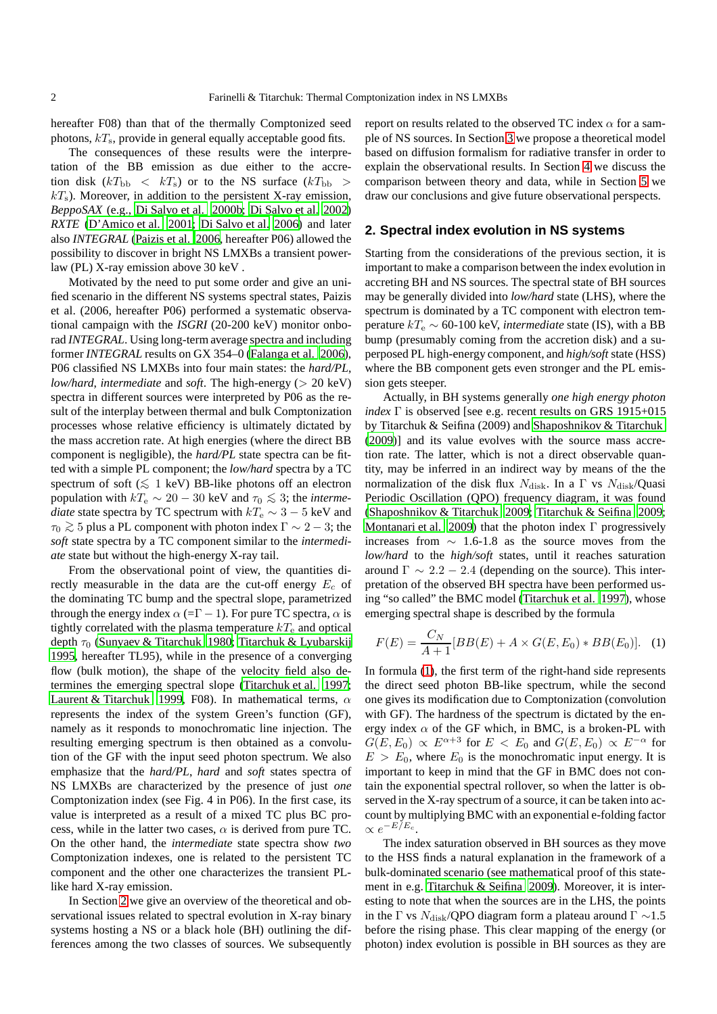hereafter F08) than that of the thermally Comptonized seed photons,  $kT_s$ , provide in general equally acceptable good fits.

The consequences of these results were the interpretation of the BB emission as due either to the accretion disk  $(kT_{\text{bb}} < kT_{\text{s}})$  or to the NS surface  $(kT_{\text{bb}} >$  $kT<sub>s</sub>$ ). Moreover, in addition to the persistent X-ray emission, *BeppoSAX* (e.g., [Di Salvo et al. 2000b;](#page-7-7) [Di Salvo et al. 2002](#page-7-15)) *RXTE* [\(D'Amico et al. 2001;](#page-7-16) [Di Salvo et al. 2006\)](#page-7-17) and later also *INTEGRAL* [\(Paizis et al. 2006,](#page-7-18) hereafter P06) allowed the possibility to discover in bright NS LMXBs a transient powerlaw (PL) X-ray emission above 30 keV .

Motivated by the need to put some order and give an unified scenario in the different NS systems spectral states, Paizis et al. (2006, hereafter P06) performed a systematic observational campaign with the *ISGRI* (20-200 keV) monitor onborad *INTEGRAL*. Using long-term average spectra and including former *INTEGRAL* results on GX 354–0 [\(Falanga et al. 2006\)](#page-7-19), P06 classified NS LMXBs into four main states: the *hard/PL*, *low/hard*, *intermediate* and *soft*. The high-energy (> 20 keV) spectra in different sources were interpreted by P06 as the result of the interplay between thermal and bulk Comptonization processes whose relative efficiency is ultimately dictated by the mass accretion rate. At high energies (where the direct BB component is negligible), the *hard/PL* state spectra can be fitted with a simple PL component; the *low/hard* spectra by a TC spectrum of soft ( $\leq 1$  keV) BB-like photons off an electron population with  $kT_e \sim 20 - 30$  keV and  $\tau_0 \lesssim 3$ ; the *intermediate* state spectra by TC spectrum with  $kT_e \sim 3 - 5$  keV and  $\tau_0 \gtrsim 5$  plus a PL component with photon index  $\Gamma \sim 2-3$ ; the *soft* state spectra by a TC component similar to the *intermediate* state but without the high-energy X-ray tail.

From the observational point of view, the quantities directly measurable in the data are the cut-off energy  $E_c$  of the dominating TC bump and the spectral slope, parametrized through the energy index  $\alpha$  (= $\Gamma$  – 1). For pure TC spectra,  $\alpha$  is tightly correlated with the plasma temperature  $kT_e$  and optical depth  $\tau_0$  [\(Sunyaev & Titarchuk 1980](#page-7-20); [Titarchuk & Lyubarskij](#page-7-21) [1995](#page-7-21), hereafter TL95), while in the presence of a converging flow (bulk motion), the shape of the velocity field also determines the emerging spectral slope [\(Titarchuk et al. 1997;](#page-7-22) [Laurent & Titarchuk 1999,](#page-7-23) F08). In mathematical terms,  $\alpha$ represents the index of the system Green's function (GF), namely as it responds to monochromatic line injection. The resulting emerging spectrum is then obtained as a convolution of the GF with the input seed photon spectrum. We also emphasize that the *hard/PL*, *hard* and *soft* states spectra of NS LMXBs are characterized by the presence of just *one* Comptonization index (see Fig. 4 in P06). In the first case, its value is interpreted as a result of a mixed TC plus BC process, while in the latter two cases,  $\alpha$  is derived from pure TC. On the other hand, the *intermediate* state spectra show *two* Comptonization indexes, one is related to the persistent TC component and the other one characterizes the transient PLlike hard X-ray emission.

In Section [2](#page-1-0) we give an overview of the theoretical and observational issues related to spectral evolution in X-ray binary systems hosting a NS or a black hole (BH) outlining the differences among the two classes of sources. We subsequently

report on results related to the observed TC index  $\alpha$  for a sample of NS sources. In Section [3](#page-3-0) we propose a theoretical model based on diffusion formalism for radiative transfer in order to explain the observational results. In Section [4](#page-5-0) we discuss the comparison between theory and data, while in Section [5](#page-7-24) we draw our conclusions and give future observational perspects.

# <span id="page-1-0"></span>**2. Spectral index evolution in NS systems**

Starting from the considerations of the previous section, it is important to make a comparison between the index evolution in accreting BH and NS sources. The spectral state of BH sources may be generally divided into *low/hard* state (LHS), where the spectrum is dominated by a TC component with electron temperature  $kT_e \sim 60$ -100 keV, *intermediate* state (IS), with a BB bump (presumably coming from the accretion disk) and a superposed PL high-energy component, and *high/soft* state (HSS) where the BB component gets even stronger and the PL emission gets steeper.

Actually, in BH systems generally *one high energy photon index* Γ is observed [see e.g. recent results on GRS 1915+015 by Titarchuk & Seifina (2009) and [Shaposhnikov & Titarchuk](#page-7-25) [\(2009](#page-7-25))] and its value evolves with the source mass accretion rate. The latter, which is not a direct observable quantity, may be inferred in an indirect way by means of the the normalization of the disk flux  $N_{\text{disk}}$ . In a  $\Gamma$  vs  $N_{\text{disk}}/Quasi$ Periodic Oscillation (QPO) frequency diagram, it was found [\(Shaposhnikov & Titarchuk 2009](#page-7-25); [Titarchuk & Seifina 2009;](#page-7-26) [Montanari et al. 2009](#page-7-27)) that the photon index  $\Gamma$  progressively increases from ∼ 1.6-1.8 as the source moves from the *low/hard* to the *high/soft* states, until it reaches saturation around  $\Gamma \sim 2.2 - 2.4$  (depending on the source). This interpretation of the observed BH spectra have been performed using "so called" the BMC model [\(Titarchuk et al. 1997\)](#page-7-22), whose emerging spectral shape is described by the formula

<span id="page-1-1"></span>
$$
F(E) = \frac{C_N}{A+1} [BB(E) + A \times G(E, E_0) * BB(E_0)].
$$
 (1)

In formula [\(1\)](#page-1-1), the first term of the right-hand side represents the direct seed photon BB-like spectrum, while the second one gives its modification due to Comptonization (convolution with GF). The hardness of the spectrum is dictated by the energy index  $\alpha$  of the GF which, in BMC, is a broken-PL with  $G(E, E_0) \propto E^{\alpha+3}$  for  $E \langle E_0 \rangle = E_0$  and  $G(E, E_0) \propto E^{-\alpha}$  for  $E > E_0$ , where  $E_0$  is the monochromatic input energy. It is important to keep in mind that the GF in BMC does not contain the exponential spectral rollover, so when the latter is observed in the X-ray spectrum of a source, it can be taken into account by multiplying BMC with an exponential e-folding factor  $\propto e^{-E/E_c}$ .

The index saturation observed in BH sources as they move to the HSS finds a natural explanation in the framework of a bulk-dominated scenario (see mathematical proof of this statement in e.g. [Titarchuk & Seifina 2009](#page-7-26)). Moreover, it is interesting to note that when the sources are in the LHS, the points in the Γ vs  $N_{disk}/QPO$  diagram form a plateau around  $\Gamma \sim 1.5$ before the rising phase. This clear mapping of the energy (or photon) index evolution is possible in BH sources as they are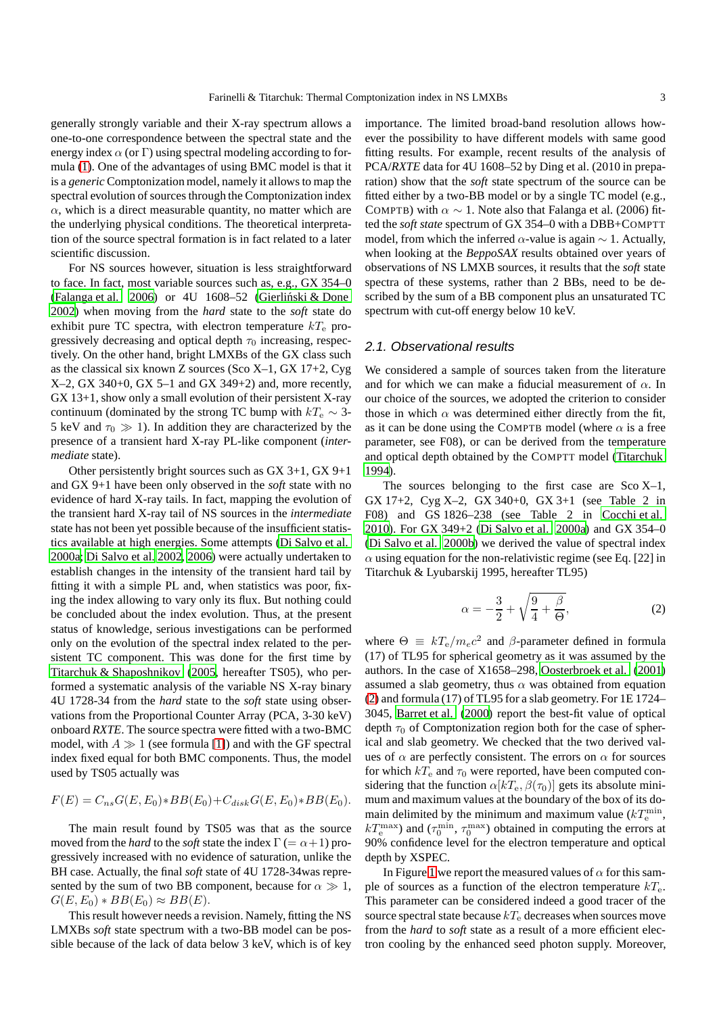generally strongly variable and their X-ray spectrum allows a one-to-one correspondence between the spectral state and the energy index  $\alpha$  (or  $\Gamma$ ) using spectral modeling according to formula [\(1\)](#page-1-1). One of the advantages of using BMC model is that it is a *generic* Comptonization model, namely it allows to map the spectral evolution of sources through the Comptonization index  $\alpha$ , which is a direct measurable quantity, no matter which are the underlying physical conditions. The theoretical interpretation of the source spectral formation is in fact related to a later scientific discussion.

For NS sources however, situation is less straightforward to face. In fact, most variable sources such as, e.g., GX 354–0 [\(Falanga et al. 2006\)](#page-7-19) or  $4U$  1608–52 (Gierliński & Done [2002](#page-7-10)) when moving from the *hard* state to the *soft* state do exhibit pure TC spectra, with electron temperature  $kT_e$  progressively decreasing and optical depth  $\tau_0$  increasing, respectively. On the other hand, bright LMXBs of the GX class such as the classical six known Z sources (Sco X–1, GX 17+2, Cyg X–2, GX 340+0, GX 5–1 and GX 349+2) and, more recently, GX 13+1, show only a small evolution of their persistent X-ray continuum (dominated by the strong TC bump with  $kT_e \sim 3$ -5 keV and  $\tau_0 \gg 1$ ). In addition they are characterized by the presence of a transient hard X-ray PL-like component (*intermediate* state).

Other persistently bright sources such as GX 3+1, GX 9+1 and GX 9+1 have been only observed in the *soft* state with no evidence of hard X-ray tails. In fact, mapping the evolution of the transient hard X-ray tail of NS sources in the *intermediate* state has not been yet possible because of the insufficient statistics available at high energies. Some attempts [\(Di Salvo et al.](#page-7-6) [2000a;](#page-7-6) [Di Salvo et al. 2002,](#page-7-15) [2006\)](#page-7-17) were actually undertaken to establish changes in the intensity of the transient hard tail by fitting it with a simple PL and, when statistics was poor, fixing the index allowing to vary only its flux. But nothing could be concluded about the index evolution. Thus, at the present status of knowledge, serious investigations can be performed only on the evolution of the spectral index related to the persistent TC component. This was done for the first time by [Titarchuk & Shaposhnikov \(2005,](#page-7-28) hereafter TS05), who performed a systematic analysis of the variable NS X-ray binary 4U 1728-34 from the *hard* state to the *soft* state using observations from the Proportional Counter Array (PCA, 3-30 keV) onboard *RXTE*. The source spectra were fitted with a two-BMC model, with  $A \gg 1$  (see formula [\[1\]](#page-1-1)) and with the GF spectral index fixed equal for both BMC components. Thus, the model used by TS05 actually was

$$
F(E) = C_{ns}G(E, E_0) * BB(E_0) + C_{disk}G(E, E_0) * BB(E_0).
$$

The main result found by TS05 was that as the source moved from the *hard* to the *soft* state the index  $\Gamma$  (=  $\alpha$ +1) progressively increased with no evidence of saturation, unlike the BH case. Actually, the final *soft* state of 4U 1728-34was represented by the sum of two BB component, because for  $\alpha \gg 1$ ,  $G(E, E_0) * BB(E_0) \approx BB(E).$ 

This result however needs a revision. Namely, fitting the NS LMXBs *soft* state spectrum with a two-BB model can be possible because of the lack of data below 3 keV, which is of key importance. The limited broad-band resolution allows however the possibility to have different models with same good fitting results. For example, recent results of the analysis of PCA/*RXTE* data for 4U 1608–52 by Ding et al. (2010 in preparation) show that the *soft* state spectrum of the source can be fitted either by a two-BB model or by a single TC model (e.g., COMPTB) with  $\alpha \sim 1$ . Note also that Falanga et al. (2006) fitted the *soft state* spectrum of GX 354–0 with a DBB+COMPTT model, from which the inferred  $\alpha$ -value is again  $\sim$  1. Actually, when looking at the *BeppoSAX* results obtained over years of observations of NS LMXB sources, it results that the *soft* state spectra of these systems, rather than 2 BBs, need to be described by the sum of a BB component plus an unsaturated TC spectrum with cut-off energy below 10 keV.

#### 2.1. Observational results

We considered a sample of sources taken from the literature and for which we can make a fiducial measurement of  $\alpha$ . In our choice of the sources, we adopted the criterion to consider those in which  $\alpha$  was determined either directly from the fit, as it can be done using the COMPTB model (where  $\alpha$  is a free parameter, see F08), or can be derived from the temperature and optical depth obtained by the COMPTT model [\(Titarchuk](#page-7-4) [1994\)](#page-7-4).

The sources belonging to the first case are Sco  $X-1$ , GX 17+2, Cyg X–2, GX 340+0, GX 3+1 (see Table 2 in F08) and GS 1826–238 (see Table 2 in [Cocchi et al.](#page-7-29) [2010\)](#page-7-29). For GX 349+2 [\(Di Salvo et al. 2000a\)](#page-7-6) and GX 354–0 [\(Di Salvo et al. 2000b\)](#page-7-7) we derived the value of spectral index  $\alpha$  using equation for the non-relativistic regime (see Eq. [22] in Titarchuk & Lyubarskij 1995, hereafter TL95)

<span id="page-2-0"></span>
$$
\alpha = -\frac{3}{2} + \sqrt{\frac{9}{4} + \frac{\beta}{\Theta}},\tag{2}
$$

where  $\Theta \equiv kT_e/m_ec^2$  and  $\beta$ -parameter defined in formula (17) of TL95 for spherical geometry as it was assumed by the authors. In the case of X1658–298, [Oosterbroek et al. \(2001](#page-7-9)) assumed a slab geometry, thus  $\alpha$  was obtained from equation [\(2\)](#page-2-0) and formula (17) of TL95 for a slab geometry. For 1E 1724– 3045, [Barret et al.](#page-7-30) [\(2000\)](#page-7-30) report the best-fit value of optical depth  $\tau_0$  of Comptonization region both for the case of spherical and slab geometry. We checked that the two derived values of  $\alpha$  are perfectly consistent. The errors on  $\alpha$  for sources for which  $kT_e$  and  $\tau_0$  were reported, have been computed considering that the function  $\alpha[kT_e, \beta(\tau_0)]$  gets its absolute minimum and maximum values at the boundary of the box of its domain delimited by the minimum and maximum value  $(kT_{\rm e}^{\rm min},$  $kT_{\rm e}^{\rm max}$ ) and  $(\tau_0^{\rm min}, \tau_0^{\rm max})$  obtained in computing the errors at 90% confidence level for the electron temperature and optical depth by XSPEC.

In Figure [1](#page-3-1) we report the measured values of  $\alpha$  for this sample of sources as a function of the electron temperature  $kT_e$ . This parameter can be considered indeed a good tracer of the source spectral state because  $kT_e$  decreases when sources move from the *hard* to *soft* state as a result of a more efficient electron cooling by the enhanced seed photon supply. Moreover,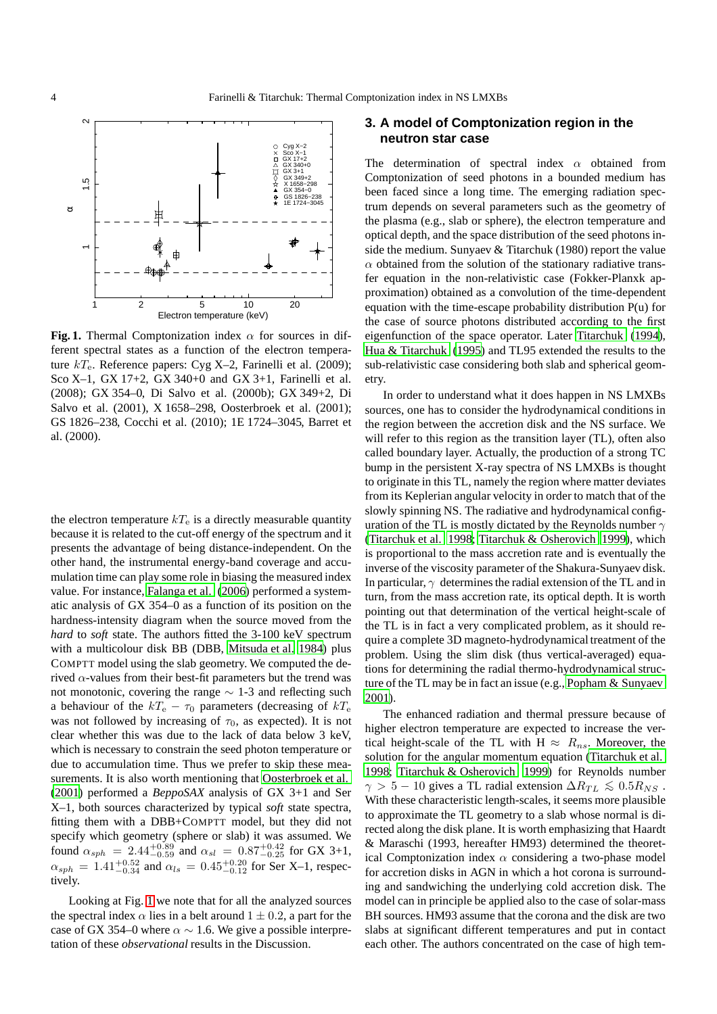

<span id="page-3-1"></span>**Fig. 1.** Thermal Comptonization index  $\alpha$  for sources in different spectral states as a function of the electron temperature  $kT_e$ . Reference papers: Cyg X-2, Farinelli et al. (2009); Sco X–1, GX 17+2, GX 340+0 and GX 3+1, Farinelli et al. (2008); GX 354–0, Di Salvo et al. (2000b); GX 349+2, Di Salvo et al. (2001), X 1658–298, Oosterbroek et al. (2001); GS 1826–238, Cocchi et al. (2010); 1E 1724–3045, Barret et al. (2000).

the electron temperature  $kT_e$  is a directly measurable quantity because it is related to the cut-off energy of the spectrum and it presents the advantage of being distance-independent. On the other hand, the instrumental energy-band coverage and accumulation time can play some role in biasing the measured index value. For instance, [Falanga et al.](#page-7-19) [\(2006\)](#page-7-19) performed a systematic analysis of GX 354–0 as a function of its position on the hardness-intensity diagram when the source moved from the *hard* to *soft* state. The authors fitted the 3-100 keV spectrum with a multicolour disk BB (DBB, [Mitsuda et al. 1984\)](#page-7-0) plus COMPTT model using the slab geometry. We computed the derived  $\alpha$ -values from their best-fit parameters but the trend was not monotonic, covering the range ∼ 1-3 and reflecting such a behaviour of the  $kT_e - \tau_0$  parameters (decreasing of  $kT_e$ was not followed by increasing of  $\tau_0$ , as expected). It is not clear whether this was due to the lack of data below 3 keV, which is necessary to constrain the seed photon temperature or due to accumulation time. Thus we prefer to skip these measurements. It is also worth mentioning that [Oosterbroek et al.](#page-7-9) [\(2001\)](#page-7-9) performed a *BeppoSAX* analysis of GX 3+1 and Ser X–1, both sources characterized by typical *soft* state spectra, fitting them with a DBB+COMPTT model, but they did not specify which geometry (sphere or slab) it was assumed. We found  $\alpha_{sph} = 2.44^{+0.89}_{-0.59}$  and  $\alpha_{sl} = 0.87^{+0.42}_{-0.25}$  for GX 3+1,  $\alpha_{sph} = 1.41^{+0.52}_{-0.34}$  and  $\alpha_{ls} = 0.45^{+0.20}_{-0.12}$  for Ser X-1, respectively.

Looking at Fig. [1](#page-3-1) we note that for all the analyzed sources the spectral index  $\alpha$  lies in a belt around  $1 \pm 0.2$ , a part for the case of GX 354–0 where  $\alpha \sim 1.6$ . We give a possible interpretation of these *observational* results in the Discussion.

# <span id="page-3-0"></span>**3. A model of Comptonization region in the neutron star case**

The determination of spectral index  $\alpha$  obtained from Comptonization of seed photons in a bounded medium has been faced since a long time. The emerging radiation spectrum depends on several parameters such as the geometry of the plasma (e.g., slab or sphere), the electron temperature and optical depth, and the space distribution of the seed photons inside the medium. Sunyaev & Titarchuk (1980) report the value  $\alpha$  obtained from the solution of the stationary radiative transfer equation in the non-relativistic case (Fokker-Planxk approximation) obtained as a convolution of the time-dependent equation with the time-escape probability distribution P(u) for the case of source photons distributed according to the first eigenfunction of the space operator. Later [Titarchuk](#page-7-4) [\(1994\)](#page-7-4), [Hua & Titarchuk \(1995](#page-7-5)) and TL95 extended the results to the sub-relativistic case considering both slab and spherical geometry.

In order to understand what it does happen in NS LMXBs sources, one has to consider the hydrodynamical conditions in the region between the accretion disk and the NS surface. We will refer to this region as the transition layer (TL), often also called boundary layer. Actually, the production of a strong TC bump in the persistent X-ray spectra of NS LMXBs is thought to originate in this TL, namely the region where matter deviates from its Keplerian angular velocity in order to match that of the slowly spinning NS. The radiative and hydrodynamical configuration of the TL is mostly dictated by the Reynolds number  $\gamma$ [\(Titarchuk et al. 1998;](#page-7-31) [Titarchuk & Osherovich 1999\)](#page-7-32), which is proportional to the mass accretion rate and is eventually the inverse of the viscosity parameter of the Shakura-Sunyaev disk. In particular,  $\gamma$  determines the radial extension of the TL and in turn, from the mass accretion rate, its optical depth. It is worth pointing out that determination of the vertical height-scale of the TL is in fact a very complicated problem, as it should require a complete 3D magneto-hydrodynamical treatment of the problem. Using the slim disk (thus vertical-averaged) equations for determining the radial thermo-hydrodynamical structure of the TL may be in fact an issue (e.g., [Popham & Sunyaev](#page-7-33) [2001\)](#page-7-33).

The enhanced radiation and thermal pressure because of higher electron temperature are expected to increase the vertical height-scale of the TL with H  $\approx$   $R_{ns}$ . Moreover, the solution for the angular momentum equation [\(Titarchuk et al.](#page-7-31) [1998;](#page-7-31) [Titarchuk & Osherovich 1999\)](#page-7-32) for Reynolds number  $\gamma > 5 - 10$  gives a TL radial extension  $\Delta R_{TL} \lesssim 0.5 R_{NS}$ . With these characteristic length-scales, it seems more plausible to approximate the TL geometry to a slab whose normal is directed along the disk plane. It is worth emphasizing that Haardt & Maraschi (1993, hereafter HM93) determined the theoretical Comptonization index  $\alpha$  considering a two-phase model for accretion disks in AGN in which a hot corona is surrounding and sandwiching the underlying cold accretion disk. The model can in principle be applied also to the case of solar-mass BH sources. HM93 assume that the corona and the disk are two slabs at significant different temperatures and put in contact each other. The authors concentrated on the case of high tem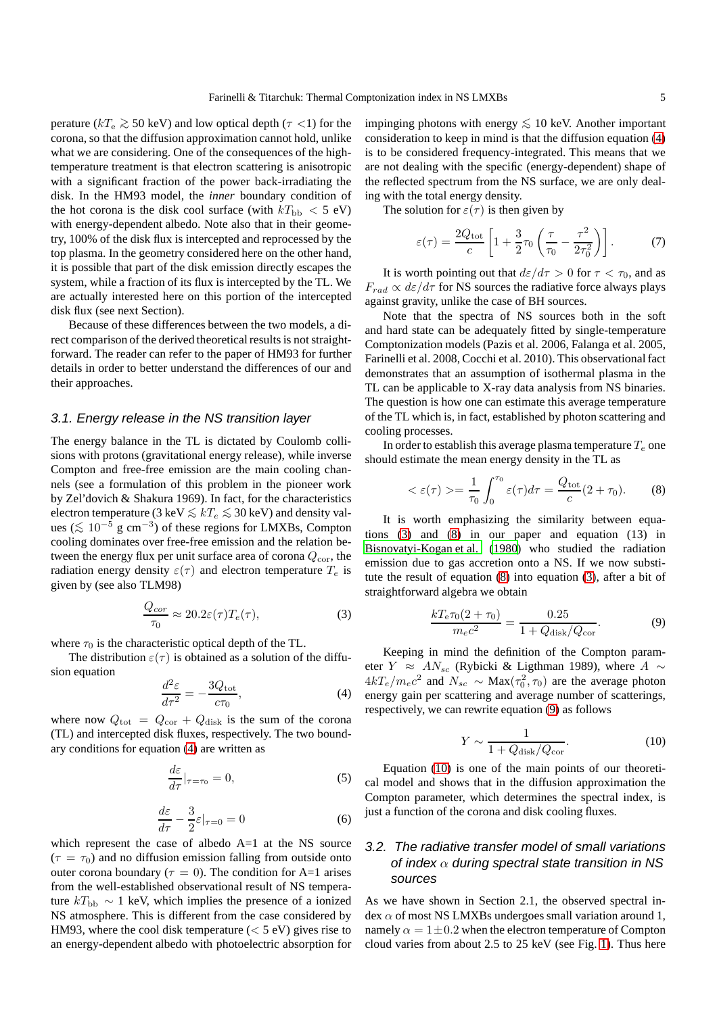perature ( $kT_e \gtrsim 50$  keV) and low optical depth ( $\tau$  <1) for the corona, so that the diffusion approximation cannot hold, unlike what we are considering. One of the consequences of the hightemperature treatment is that electron scattering is anisotropic with a significant fraction of the power back-irradiating the disk. In the HM93 model, the *inner* boundary condition of the hot corona is the disk cool surface (with  $kT_{\text{bb}} < 5$  eV) with energy-dependent albedo. Note also that in their geometry, 100% of the disk flux is intercepted and reprocessed by the top plasma. In the geometry considered here on the other hand, it is possible that part of the disk emission directly escapes the system, while a fraction of its flux is intercepted by the TL. We are actually interested here on this portion of the intercepted disk flux (see next Section).

Because of these differences between the two models, a direct comparison of the derived theoretical results is not straightforward. The reader can refer to the paper of HM93 for further details in order to better understand the differences of our and their approaches.

#### 3.1. Energy release in the NS transition layer

The energy balance in the TL is dictated by Coulomb collisions with protons (gravitational energy release), while inverse Compton and free-free emission are the main cooling channels (see a formulation of this problem in the pioneer work by Zel'dovich & Shakura 1969). In fact, for the characteristics electron temperature (3 keV  $\leq kT_e \leq 30$  keV) and density values ( $\lesssim 10^{-5}$  g cm<sup>-3</sup>) of these regions for LMXBs, Compton cooling dominates over free-free emission and the relation between the energy flux per unit surface area of corona  $Q_{\text{cor}}$ , the radiation energy density  $\varepsilon(\tau)$  and electron temperature  $T_e$  is given by (see also TLM98)

<span id="page-4-1"></span>
$$
\frac{Q_{cor}}{\tau_0} \approx 20.2\varepsilon(\tau)T_e(\tau),\tag{3}
$$

where  $\tau_0$  is the characteristic optical depth of the TL.

The distribution  $\varepsilon(\tau)$  is obtained as a solution of the diffusion equation

<span id="page-4-0"></span>
$$
\frac{d^2\varepsilon}{d\tau^2} = -\frac{3Q_{\text{tot}}}{c\tau_0},\tag{4}
$$

where now  $Q_{\text{tot}} = Q_{\text{cor}} + Q_{\text{disk}}$  is the sum of the corona (TL) and intercepted disk fluxes, respectively. The two boundary conditions for equation [\(4\)](#page-4-0) are written as

$$
\frac{d\varepsilon}{d\tau}|_{\tau=\tau_0}=0,\t\t(5)
$$

$$
\frac{d\varepsilon}{d\tau} - \frac{3}{2}\varepsilon|_{\tau=0} = 0\tag{6}
$$

which represent the case of albedo  $A=1$  at the NS source  $(\tau = \tau_0)$  and no diffusion emission falling from outside onto outer corona boundary ( $\tau = 0$ ). The condition for A=1 arises from the well-established observational result of NS temperature  $kT_{\rm bb} \sim 1$  keV, which implies the presence of a ionized NS atmosphere. This is different from the case considered by HM93, where the cool disk temperature  $(< 5 \text{ eV})$  gives rise to an energy-dependent albedo with photoelectric absorption for

impinging photons with energy  $\leq 10$  keV. Another important consideration to keep in mind is that the diffusion equation [\(4\)](#page-4-0) is to be considered frequency-integrated. This means that we are not dealing with the specific (energy-dependent) shape of the reflected spectrum from the NS surface, we are only dealing with the total energy density.

The solution for  $\varepsilon(\tau)$  is then given by

$$
\varepsilon(\tau) = \frac{2Q_{\text{tot}}}{c} \left[ 1 + \frac{3}{2}\tau_0 \left( \frac{\tau}{\tau_0} - \frac{\tau^2}{2\tau_0^2} \right) \right]. \tag{7}
$$

It is worth pointing out that  $d\varepsilon/d\tau > 0$  for  $\tau < \tau_0$ , and as  $F_{rad} \propto d\varepsilon/d\tau$  for NS sources the radiative force always plays against gravity, unlike the case of BH sources.

Note that the spectra of NS sources both in the soft and hard state can be adequately fitted by single-temperature Comptonization models (Pazis et al. 2006, Falanga et al. 2005, Farinelli et al. 2008, Cocchi et al. 2010). This observational fact demonstrates that an assumption of isothermal plasma in the TL can be applicable to X-ray data analysis from NS binaries. The question is how one can estimate this average temperature of the TL which is, in fact, established by photon scattering and cooling processes.

In order to establish this average plasma temperature  $T_e$  one should estimate the mean energy density in the TL as

<span id="page-4-2"></span>
$$
<\varepsilon(\tau) > = \frac{1}{\tau_0} \int_0^{\tau_0} \varepsilon(\tau) d\tau = \frac{Q_{\text{tot}}}{c} (2 + \tau_0).
$$
 (8)

It is worth emphasizing the similarity between equations [\(3\)](#page-4-1) and [\(8\)](#page-4-2) in our paper and equation (13) in [Bisnovatyi-Kogan et al. \(1980\)](#page-7-34) who studied the radiation emission due to gas accretion onto a NS. If we now substitute the result of equation [\(8\)](#page-4-2) into equation [\(3\)](#page-4-1), after a bit of straightforward algebra we obtain

<span id="page-4-3"></span>
$$
\frac{kT_e\tau_0(2+\tau_0)}{m_ec^2} = \frac{0.25}{1+Q_{\text{disk}}/Q_{\text{cor}}}.\tag{9}
$$

Keeping in mind the definition of the Compton parameter *Y* ≈  $AN_{sc}$  (Rybicki & Ligthman 1989), where  $A \sim$  $4kT_e/m_ec^2$  and  $N_{sc} \sim \text{Max}(\tau_0^2, \tau_0)$  are the average photon energy gain per scattering and average number of scatterings, respectively, we can rewrite equation [\(9\)](#page-4-3) as follows

<span id="page-4-4"></span>
$$
Y \sim \frac{1}{1 + Q_{\text{disk}}/Q_{\text{cor}}}.\tag{10}
$$

Equation [\(10\)](#page-4-4) is one of the main points of our theoretical model and shows that in the diffusion approximation the Compton parameter, which determines the spectral index, is just a function of the corona and disk cooling fluxes.

# 3.2. The radiative transfer model of small variations of index  $\alpha$  during spectral state transition in NS sources

As we have shown in Section 2.1, the observed spectral in- $\text{dex} \alpha$  of most NS LMXBs undergoes small variation around 1, namely  $\alpha = 1 \pm 0.2$  when the electron temperature of Compton cloud varies from about 2.5 to 25 keV (see Fig. [1\)](#page-3-1). Thus here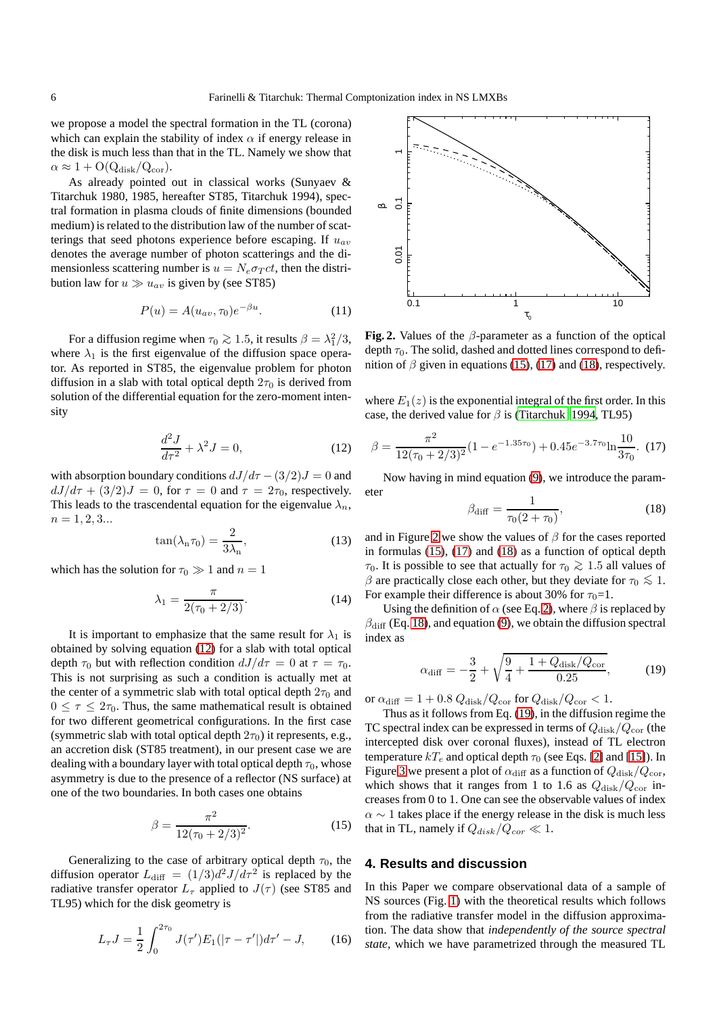we propose a model the spectral formation in the TL (corona) which can explain the stability of index  $\alpha$  if energy release in the disk is much less than that in the TL. Namely we show that  $\alpha \approx 1 + O(Q_{disk}/Q_{cor}).$ 

As already pointed out in classical works (Sunyaev & Titarchuk 1980, 1985, hereafter ST85, Titarchuk 1994), spectral formation in plasma clouds of finite dimensions (bounded medium) is related to the distribution law of the number of scatterings that seed photons experience before escaping. If  $u_{av}$ denotes the average number of photon scatterings and the dimensionless scattering number is  $u = N_e \sigma_T ct$ , then the distribution law for  $u \gg u_{av}$  is given by (see ST85)

$$
P(u) = A(u_{av}, \tau_0)e^{-\beta u}.
$$
 (11)

For a diffusion regime when  $\tau_0 \gtrsim 1.5$ , it results  $\beta = \lambda_1^2/3$ , where  $\lambda_1$  is the first eigenvalue of the diffusion space operator. As reported in ST85, the eigenvalue problem for photon diffusion in a slab with total optical depth  $2\tau_0$  is derived from solution of the differential equation for the zero-moment intensity

<span id="page-5-1"></span>
$$
\frac{d^2J}{dr^2} + \lambda^2 J = 0,\t\t(12)
$$

with absorption boundary conditions  $dJ/d\tau - (3/2)J = 0$  and  $dJ/d\tau + (3/2)J = 0$ , for  $\tau = 0$  and  $\tau = 2\tau_0$ , respectively. This leads to the trascendental equation for the eigenvalue  $\lambda_n$ ,  $n = 1, 2, 3...$ 

$$
\tan(\lambda_n \tau_0) = \frac{2}{3\lambda_n},\tag{13}
$$

which has the solution for  $\tau_0 \gg 1$  and  $n = 1$ 

$$
\lambda_1 = \frac{\pi}{2(\tau_0 + 2/3)}.\tag{14}
$$

It is important to emphasize that the same result for  $\lambda_1$  is obtained by solving equation [\(12\)](#page-5-1) for a slab with total optical depth  $\tau_0$  but with reflection condition  $dJ/d\tau = 0$  at  $\tau = \tau_0$ . This is not surprising as such a condition is actually met at the center of a symmetric slab with total optical depth  $2\tau_0$  and  $0 \leq \tau \leq 2\tau_0$ . Thus, the same mathematical result is obtained for two different geometrical configurations. In the first case (symmetric slab with total optical depth  $2\tau_0$ ) it represents, e.g., an accretion disk (ST85 treatment), in our present case we are dealing with a boundary layer with total optical depth  $\tau_0$ , whose asymmetry is due to the presence of a reflector (NS surface) at one of the two boundaries. In both cases one obtains

<span id="page-5-2"></span>
$$
\beta = \frac{\pi^2}{12(\tau_0 + 2/3)^2}.
$$
\n(15)

Generalizing to the case of arbitrary optical depth  $\tau_0$ , the diffusion operator  $L_{\text{diff}} = (1/3)d^2 J/d\tau^2$  is replaced by the radiative transfer operator  $L_{\tau}$  applied to  $J(\tau)$  (see ST85 and TL95) which for the disk geometry is

$$
L_{\tau}J = \frac{1}{2} \int_0^{2\tau_0} J(\tau')E_1(|\tau - \tau'|)d\tau' - J, \qquad (16)
$$



<span id="page-5-5"></span>**Fig. 2.** Values of the  $\beta$ -parameter as a function of the optical depth  $\tau_0$ . The solid, dashed and dotted lines correspond to definition of  $\beta$  given in equations [\(15\)](#page-5-2), [\(17\)](#page-5-3) and [\(18\)](#page-5-4), respectively.

where  $E_1(z)$  is the exponential integral of the first order. In this case, the derived value for  $\beta$  is [\(Titarchuk 1994](#page-7-4), TL95)

<span id="page-5-3"></span>
$$
\beta = \frac{\pi^2}{12(\tau_0 + 2/3)^2} (1 - e^{-1.35\tau_0}) + 0.45e^{-3.7\tau_0} \ln \frac{10}{3\tau_0}.
$$
 (17)

Now having in mind equation [\(9\)](#page-4-3), we introduce the parameter

<span id="page-5-4"></span>
$$
\beta_{\text{diff}} = \frac{1}{\tau_0 (2 + \tau_0)},\tag{18}
$$

and in Figure [2](#page-5-5) we show the values of  $\beta$  for the cases reported in formulas [\(15\)](#page-5-2), [\(17\)](#page-5-3) and [\(18\)](#page-5-4) as a function of optical depth  $τ_0$ . It is possible to see that actually for  $τ_0 ≥ 1.5$  all values of β are practically close each other, but they deviate for  $τ_0 ≤ 1$ . For example their difference is about 30% for  $\tau_0=1$ .

Using the definition of  $\alpha$  (see Eq. [2\)](#page-2-0), where  $\beta$  is replaced by  $\beta_{\text{diff}}$  (Eq. [18\)](#page-5-4), and equation [\(9\)](#page-4-3), we obtain the diffusion spectral index as

<span id="page-5-6"></span>
$$
\alpha_{\text{diff}} = -\frac{3}{2} + \sqrt{\frac{9}{4} + \frac{1 + Q_{\text{disk}}/Q_{\text{cor}}}{0.25}},\tag{19}
$$

or  $\alpha_{\text{diff}} = 1 + 0.8 Q_{\text{disk}}/Q_{\text{cor}}$  for  $Q_{\text{disk}}/Q_{\text{cor}} < 1$ .

Thus as it follows from Eq. [\(19\)](#page-5-6), in the diffusion regime the TC spectral index can be expressed in terms of  $Q_{disk}/Q_{cor}$  (the intercepted disk over coronal fluxes), instead of TL electron temperature  $kT_e$  and optical depth  $\tau_0$  (see Eqs. [\[2\]](#page-2-0) and [\[15\]](#page-5-2)). In Figure [3](#page-6-0) we present a plot of  $\alpha_{\text{diff}}$  as a function of  $Q_{\text{disk}}/Q_{\text{cor}}$ , which shows that it ranges from 1 to 1.6 as  $Q_{disk}/Q_{cor}$  increases from 0 to 1. One can see the observable values of index  $\alpha \sim 1$  takes place if the energy release in the disk is much less that in TL, namely if  $Q_{disk}/Q_{cor} \ll 1$ .

### <span id="page-5-0"></span>**4. Results and discussion**

In this Paper we compare observational data of a sample of NS sources (Fig. [1\)](#page-3-1) with the theoretical results which follows from the radiative transfer model in the diffusion approximation. The data show that *independently of the source spectral state*, which we have parametrized through the measured TL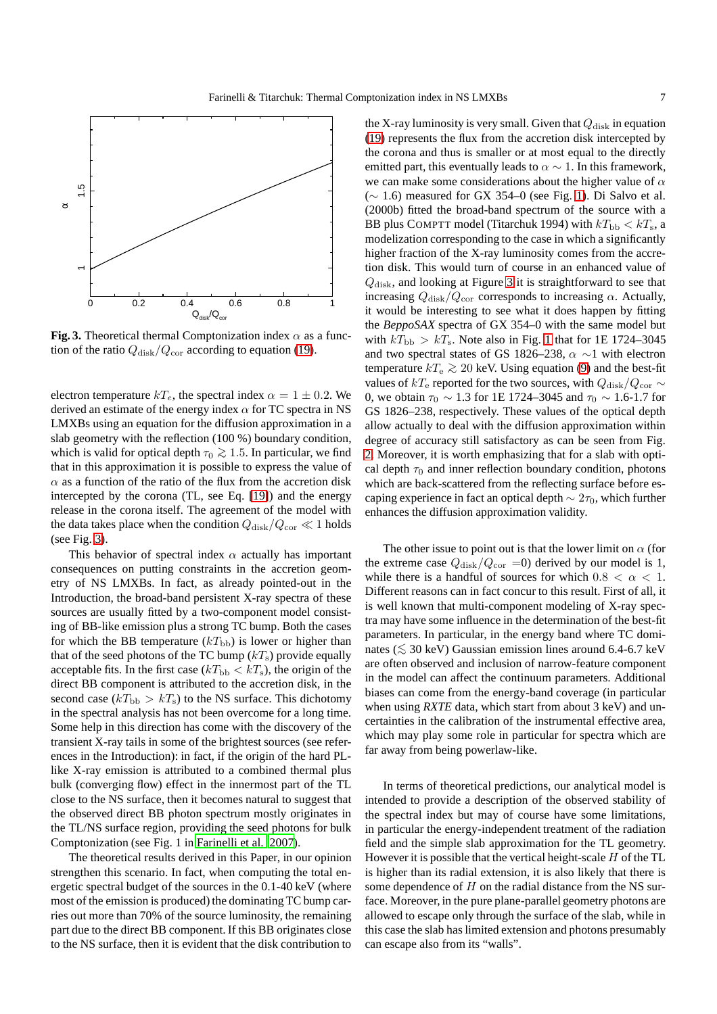

<span id="page-6-0"></span>**Fig. 3.** Theoretical thermal Comptonization index  $\alpha$  as a function of the ratio  $Q_{disk}/Q_{cor}$  according to equation [\(19\)](#page-5-6).

electron temperature  $kT_e$ , the spectral index  $\alpha = 1 \pm 0.2$ . We derived an estimate of the energy index  $\alpha$  for TC spectra in NS LMXBs using an equation for the diffusion approximation in a slab geometry with the reflection (100 %) boundary condition, which is valid for optical depth  $\tau_0 \gtrsim 1.5$ . In particular, we find that in this approximation it is possible to express the value of  $\alpha$  as a function of the ratio of the flux from the accretion disk intercepted by the corona (TL, see Eq. [\[19\]](#page-5-6)) and the energy release in the corona itself. The agreement of the model with the data takes place when the condition  $Q_{disk}/Q_{cor} \ll 1$  holds (see Fig. [3\)](#page-6-0).

This behavior of spectral index  $\alpha$  actually has important consequences on putting constraints in the accretion geometry of NS LMXBs. In fact, as already pointed-out in the Introduction, the broad-band persistent X-ray spectra of these sources are usually fitted by a two-component model consisting of BB-like emission plus a strong TC bump. Both the cases for which the BB temperature  $(kT_{\text{bb}})$  is lower or higher than that of the seed photons of the TC bump  $(kT<sub>s</sub>)$  provide equally acceptable fits. In the first case  $(kT_{\rm bb} < kT_{\rm s})$ , the origin of the direct BB component is attributed to the accretion disk, in the second case ( $kT_{\rm bb} > kT_{\rm s}$ ) to the NS surface. This dichotomy in the spectral analysis has not been overcome for a long time. Some help in this direction has come with the discovery of the transient X-ray tails in some of the brightest sources (see references in the Introduction): in fact, if the origin of the hard PLlike X-ray emission is attributed to a combined thermal plus bulk (converging flow) effect in the innermost part of the TL close to the NS surface, then it becomes natural to suggest that the observed direct BB photon spectrum mostly originates in the TL/NS surface region, providing the seed photons for bulk Comptonization (see Fig. 1 in [Farinelli et al. 2007\)](#page-7-13).

The theoretical results derived in this Paper, in our opinion strengthen this scenario. In fact, when computing the total energetic spectral budget of the sources in the 0.1-40 keV (where most of the emission is produced) the dominating TC bump carries out more than 70% of the source luminosity, the remaining part due to the direct BB component. If this BB originates close to the NS surface, then it is evident that the disk contribution to

the X-ray luminosity is very small. Given that  $Q_{disk}$  in equation [\(19\)](#page-5-6) represents the flux from the accretion disk intercepted by the corona and thus is smaller or at most equal to the directly emitted part, this eventually leads to  $\alpha \sim 1$ . In this framework, we can make some considerations about the higher value of  $\alpha$  $(\sim 1.6)$  measured for GX 354–0 (see Fig. [1\)](#page-3-1). Di Salvo et al. (2000b) fitted the broad-band spectrum of the source with a BB plus COMPTT model (Titarchuk 1994) with  $kT_{\text{bb}} < kT_{\text{s}}$ , a modelization corresponding to the case in which a significantly higher fraction of the X-ray luminosity comes from the accretion disk. This would turn of course in an enhanced value of  $Q<sub>disk</sub>$ , and looking at Figure [3](#page-6-0) it is straightforward to see that increasing  $Q_{disk}/Q_{cor}$  corresponds to increasing  $\alpha$ . Actually, it would be interesting to see what it does happen by fitting the *BeppoSAX* spectra of GX 354–0 with the same model but with  $kT_{\text{bh}} > kT_s$ . Note also in Fig. [1](#page-3-1) that for 1E 1724–3045 and two spectral states of GS 1826–238,  $\alpha \sim 1$  with electron temperature  $kT_e$  ≥ 20 keV. Using equation [\(9\)](#page-4-3) and the best-fit values of kT<sub>e</sub> reported for the two sources, with  $Q_{disk}/Q_{cor} \sim$ 0, we obtain  $\tau_0 \sim 1.3$  for 1E 1724–3045 and  $\tau_0 \sim 1.6$ -1.7 for GS 1826–238, respectively. These values of the optical depth allow actually to deal with the diffusion approximation within degree of accuracy still satisfactory as can be seen from Fig. [2.](#page-5-5) Moreover, it is worth emphasizing that for a slab with optical depth  $\tau_0$  and inner reflection boundary condition, photons which are back-scattered from the reflecting surface before escaping experience in fact an optical depth  $\sim 2\tau_0$ , which further enhances the diffusion approximation validity.

The other issue to point out is that the lower limit on  $\alpha$  (for the extreme case  $Q_{disk}/Q_{cor} = 0$ ) derived by our model is 1, while there is a handful of sources for which  $0.8 < \alpha < 1$ . Different reasons can in fact concur to this result. First of all, it is well known that multi-component modeling of X-ray spectra may have some influence in the determination of the best-fit parameters. In particular, in the energy band where TC dominates ( $\leq 30$  keV) Gaussian emission lines around 6.4-6.7 keV are often observed and inclusion of narrow-feature component in the model can affect the continuum parameters. Additional biases can come from the energy-band coverage (in particular when using *RXTE* data, which start from about 3 keV) and uncertainties in the calibration of the instrumental effective area, which may play some role in particular for spectra which are far away from being powerlaw-like.

In terms of theoretical predictions, our analytical model is intended to provide a description of the observed stability of the spectral index but may of course have some limitations, in particular the energy-independent treatment of the radiation field and the simple slab approximation for the TL geometry. However it is possible that the vertical height-scale  $H$  of the TL is higher than its radial extension, it is also likely that there is some dependence of  $H$  on the radial distance from the NS surface. Moreover, in the pure plane-parallel geometry photons are allowed to escape only through the surface of the slab, while in this case the slab has limited extension and photons presumably can escape also from its "walls".